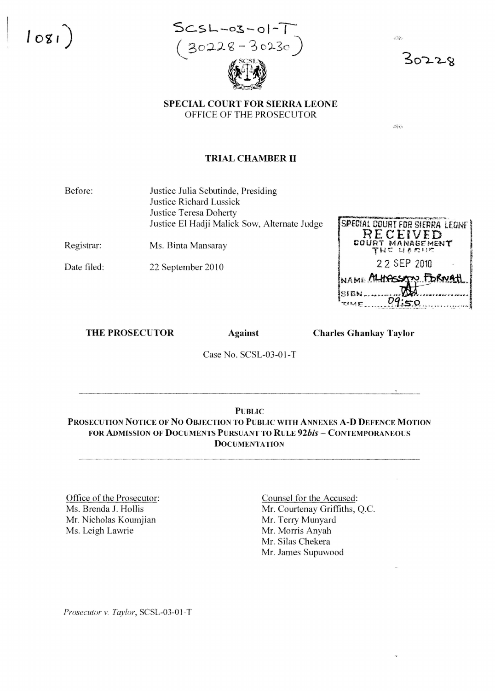5CSL-03-01  $(30228 - 30230)$ 



 $30228$ 

# SPECIAL COURT FOR SIERRA LEONE OFFICE OF THE PROSECUTOR

ess

冷凝

### **TRIAL CHAMBER II**

Before: Justice Julia Sebutinde, Presiding Justice Richard Lussick **Justice Teresa Doherty** Justice El Hadji Malick Sow, Alternate Judge

Registrar: Ms. Binta Mansaray

Date filed: 22 September 2010

SPECIAL COURT FOR SIERRA LEONE **RECEIVED** 2 2 SEP 2010 n FORMAT NAME! 09:50

### **THE PROSECUTOR**

**Against** 

**Charles Ghankay Taylor** 

Case No. SCSL-03-01-T

#### **PUBLIC**

PROSECUTION NOTICE OF NO OBJECTION TO PUBLIC WITH ANNEXES A-D DEFENCE MOTION FOR ADMISSION OF DOCUMENTS PURSUANT TO RULE 92bis - CONTEMPORANEOUS **DOCUMENTATION** 

Office of the Prosecutor: Ms. Brenda J. Hollis Mr. Nicholas Koumjian Ms. Leigh Lawrie

Counsel for the Accused: Mr. Courtenay Griffiths, Q.C. Mr. Terry Munyard Mr. Morris Anyah Mr. Silas Chekera Mr. James Supuwood

Prosecutor v. Taylor, SCSL-03-01-T

 $1081$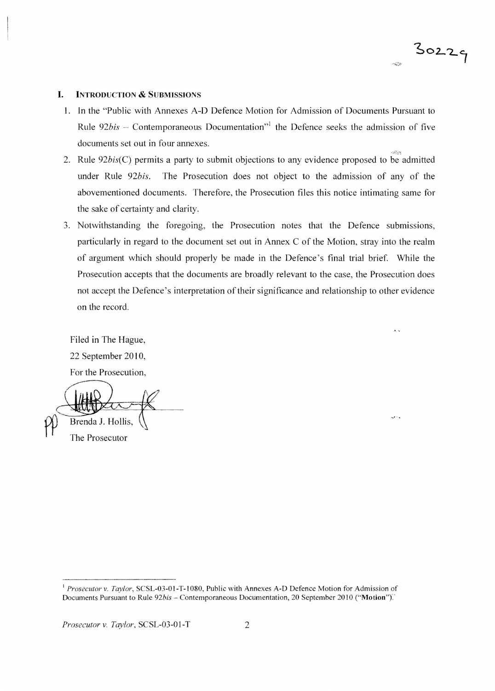## $30229$  $433$

 $\overline{1}$ 

 $\ddotsc$ 

#### **I. INTRODUCTION & SUBMISSIONS**

- 1. In the "Public with Annexes A-D Defence Motion for Admission of Documents Pursuant to Rule 92bis - Contemporaneous Documentation<sup>"1</sup> the Defence seeks the admission of five documents set out in four annexes.
- 2. Rule  $92bis(C)$  permits a party to submit objections to any evidence proposed to be admitted under Rule *92bis.* The Prosecution does not object to the admission of any of the above mentioned documents. Therefore, the Prosecution files this notice intimating same for the sake of certainty and clarity.
- 3. Notwithstanding the foregoing, the Prosecution notes that the Defence submissions, particularly in regard to the document set out in Annex C of the Motion, stray into the realm of argument which should properly be made in the Defence 's final trial brief. While the Prosecution accepts that the documents are broadly relevant to the case, the Prosecution does not accept the Defence's interpretation of their significance and relationship to other evidence on the record.

Filed in The Hague, 22 September 20 I0, For the Prosecution,

Brenda J. Hollis. The Prosecutor

<sup>&</sup>lt;sup>1</sup> Prosecutor v. Taylor, SCSL-03-01-T-1080, Public with Annexes A-D Defence Motion for Admission of Documents Pursuant to Rule 92bis - Contemporaneous Documentation, 20 September 2010 ("Motion").